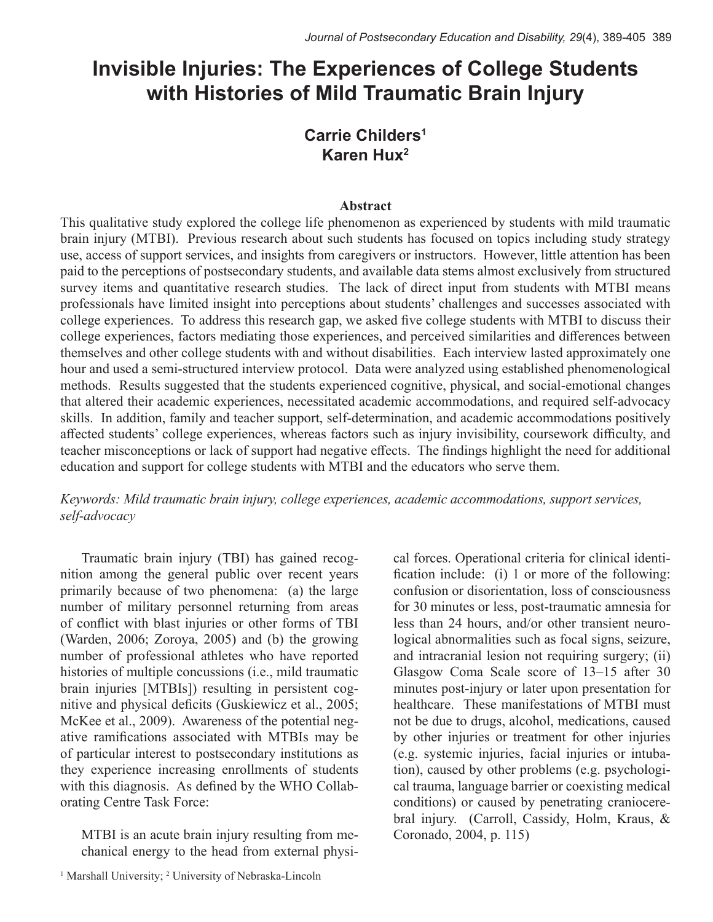# **Invisible Injuries: The Experiences of College Students with Histories of Mild Traumatic Brain Injury**

# **Carrie Childers1 Karen Hux2**

# **Abstract**

This qualitative study explored the college life phenomenon as experienced by students with mild traumatic brain injury (MTBI). Previous research about such students has focused on topics including study strategy use, access of support services, and insights from caregivers or instructors. However, little attention has been paid to the perceptions of postsecondary students, and available data stems almost exclusively from structured survey items and quantitative research studies. The lack of direct input from students with MTBI means professionals have limited insight into perceptions about students' challenges and successes associated with college experiences. To address this research gap, we asked five college students with MTBI to discuss their college experiences, factors mediating those experiences, and perceived similarities and differences between themselves and other college students with and without disabilities. Each interview lasted approximately one hour and used a semi-structured interview protocol. Data were analyzed using established phenomenological methods. Results suggested that the students experienced cognitive, physical, and social-emotional changes that altered their academic experiences, necessitated academic accommodations, and required self-advocacy skills. In addition, family and teacher support, self-determination, and academic accommodations positively affected students' college experiences, whereas factors such as injury invisibility, coursework difficulty, and teacher misconceptions or lack of support had negative effects. The findings highlight the need for additional education and support for college students with MTBI and the educators who serve them.

*Keywords: Mild traumatic brain injury, college experiences, academic accommodations, support services, self-advocacy*

Traumatic brain injury (TBI) has gained recognition among the general public over recent years primarily because of two phenomena: (a) the large number of military personnel returning from areas of conflict with blast injuries or other forms of TBI (Warden, 2006; Zoroya, 2005) and (b) the growing number of professional athletes who have reported histories of multiple concussions (i.e., mild traumatic brain injuries [MTBIs]) resulting in persistent cognitive and physical deficits (Guskiewicz et al., 2005; McKee et al., 2009). Awareness of the potential negative ramifications associated with MTBIs may be of particular interest to postsecondary institutions as they experience increasing enrollments of students with this diagnosis. As defined by the WHO Collaborating Centre Task Force:

MTBI is an acute brain injury resulting from mechanical energy to the head from external physi-

<sup>1</sup> Marshall University; <sup>2</sup> University of Nebraska-Lincoln

cal forces. Operational criteria for clinical identification include: (i) 1 or more of the following: confusion or disorientation, loss of consciousness for 30 minutes or less, post-traumatic amnesia for less than 24 hours, and/or other transient neurological abnormalities such as focal signs, seizure, and intracranial lesion not requiring surgery; (ii) Glasgow Coma Scale score of 13–15 after 30 minutes post-injury or later upon presentation for healthcare. These manifestations of MTBI must not be due to drugs, alcohol, medications, caused by other injuries or treatment for other injuries (e.g. systemic injuries, facial injuries or intubation), caused by other problems (e.g. psychological trauma, language barrier or coexisting medical conditions) or caused by penetrating craniocerebral injury. (Carroll, Cassidy, Holm, Kraus, & Coronado, 2004, p. 115)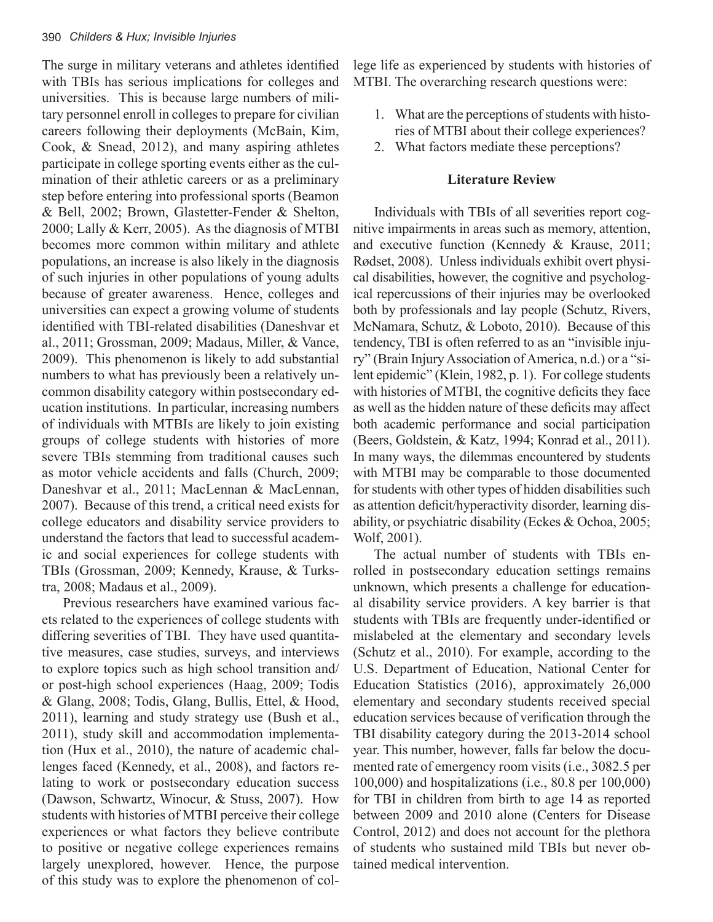The surge in military veterans and athletes identified with TBIs has serious implications for colleges and universities. This is because large numbers of military personnel enroll in colleges to prepare for civilian careers following their deployments (McBain, Kim, Cook, & Snead, 2012), and many aspiring athletes participate in college sporting events either as the culmination of their athletic careers or as a preliminary step before entering into professional sports (Beamon & Bell, 2002; Brown, Glastetter-Fender & Shelton, 2000; Lally & Kerr, 2005). As the diagnosis of MTBI becomes more common within military and athlete populations, an increase is also likely in the diagnosis of such injuries in other populations of young adults because of greater awareness. Hence, colleges and universities can expect a growing volume of students identified with TBI-related disabilities (Daneshvar et al., 2011; Grossman, 2009; Madaus, Miller, & Vance, 2009). This phenomenon is likely to add substantial numbers to what has previously been a relatively uncommon disability category within postsecondary education institutions. In particular, increasing numbers of individuals with MTBIs are likely to join existing groups of college students with histories of more severe TBIs stemming from traditional causes such as motor vehicle accidents and falls (Church, 2009; Daneshvar et al., 2011; MacLennan & MacLennan, 2007). Because of this trend, a critical need exists for college educators and disability service providers to understand the factors that lead to successful academic and social experiences for college students with TBIs (Grossman, 2009; Kennedy, Krause, & Turkstra, 2008; Madaus et al., 2009).

Previous researchers have examined various facets related to the experiences of college students with differing severities of TBI. They have used quantitative measures, case studies, surveys, and interviews to explore topics such as high school transition and/ or post-high school experiences (Haag, 2009; Todis & Glang, 2008; Todis, Glang, Bullis, Ettel, & Hood, 2011), learning and study strategy use (Bush et al., 2011), study skill and accommodation implementation (Hux et al., 2010), the nature of academic challenges faced (Kennedy, et al., 2008), and factors relating to work or postsecondary education success (Dawson, Schwartz, Winocur, & Stuss, 2007). How students with histories of MTBI perceive their college experiences or what factors they believe contribute to positive or negative college experiences remains largely unexplored, however. Hence, the purpose of this study was to explore the phenomenon of college life as experienced by students with histories of MTBI. The overarching research questions were:

- 1. What are the perceptions of students with histories of MTBI about their college experiences?
- 2. What factors mediate these perceptions?

# **Literature Review**

Individuals with TBIs of all severities report cognitive impairments in areas such as memory, attention, and executive function (Kennedy & Krause, 2011; Rødset, 2008). Unless individuals exhibit overt physical disabilities, however, the cognitive and psychological repercussions of their injuries may be overlooked both by professionals and lay people (Schutz, Rivers, McNamara, Schutz, & Loboto, 2010). Because of this tendency, TBI is often referred to as an "invisible injury" (Brain Injury Association of America, n.d.) or a "silent epidemic" (Klein, 1982, p. 1). For college students with histories of MTBI, the cognitive deficits they face as well as the hidden nature of these deficits may affect both academic performance and social participation (Beers, Goldstein, & Katz, 1994; Konrad et al., 2011). In many ways, the dilemmas encountered by students with MTBI may be comparable to those documented for students with other types of hidden disabilities such as attention deficit/hyperactivity disorder, learning disability, or psychiatric disability (Eckes & Ochoa, 2005; Wolf, 2001).

The actual number of students with TBIs enrolled in postsecondary education settings remains unknown, which presents a challenge for educational disability service providers. A key barrier is that students with TBIs are frequently under-identified or mislabeled at the elementary and secondary levels (Schutz et al., 2010). For example, according to the U.S. Department of Education, National Center for Education Statistics (2016), approximately 26,000 elementary and secondary students received special education services because of verification through the TBI disability category during the 2013-2014 school year. This number, however, falls far below the documented rate of emergency room visits (i.e., 3082.5 per 100,000) and hospitalizations (i.e., 80.8 per 100,000) for TBI in children from birth to age 14 as reported between 2009 and 2010 alone (Centers for Disease Control, 2012) and does not account for the plethora of students who sustained mild TBIs but never obtained medical intervention.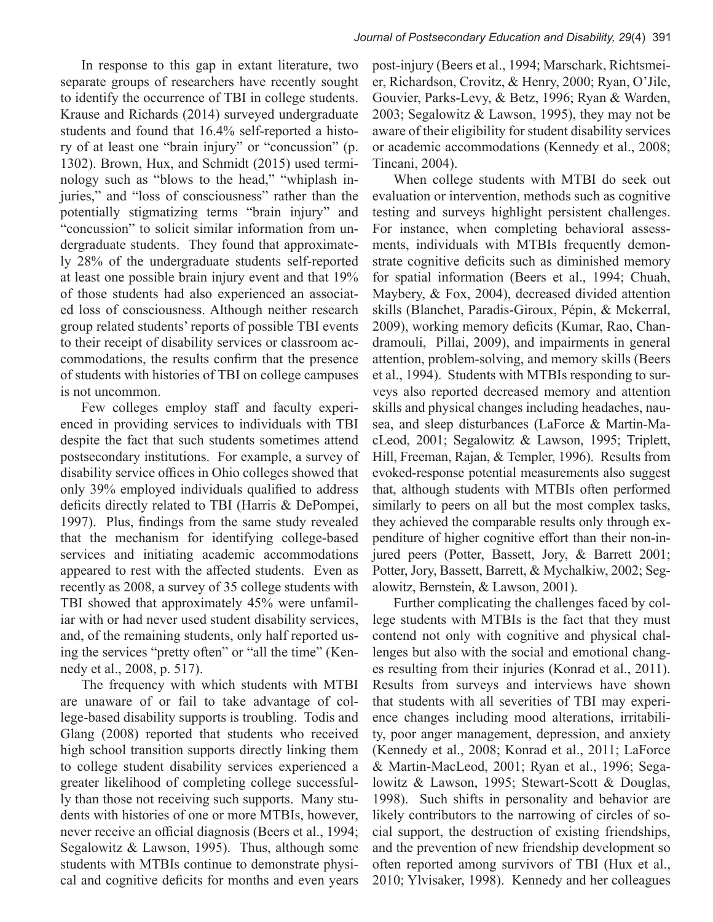In response to this gap in extant literature, two separate groups of researchers have recently sought to identify the occurrence of TBI in college students. Krause and Richards (2014) surveyed undergraduate students and found that 16.4% self-reported a history of at least one "brain injury" or "concussion" (p. 1302). Brown, Hux, and Schmidt (2015) used terminology such as "blows to the head," "whiplash injuries," and "loss of consciousness" rather than the potentially stigmatizing terms "brain injury" and "concussion" to solicit similar information from undergraduate students. They found that approximately 28% of the undergraduate students self-reported at least one possible brain injury event and that 19% of those students had also experienced an associated loss of consciousness. Although neither research group related students' reports of possible TBI events to their receipt of disability services or classroom accommodations, the results confirm that the presence of students with histories of TBI on college campuses is not uncommon.

Few colleges employ staff and faculty experienced in providing services to individuals with TBI despite the fact that such students sometimes attend postsecondary institutions. For example, a survey of disability service offices in Ohio colleges showed that only 39% employed individuals qualified to address deficits directly related to TBI (Harris & DePompei, 1997). Plus, findings from the same study revealed that the mechanism for identifying college-based services and initiating academic accommodations appeared to rest with the affected students. Even as recently as 2008, a survey of 35 college students with TBI showed that approximately 45% were unfamiliar with or had never used student disability services, and, of the remaining students, only half reported using the services "pretty often" or "all the time" (Kennedy et al., 2008, p. 517).

The frequency with which students with MTBI are unaware of or fail to take advantage of college-based disability supports is troubling. Todis and Glang (2008) reported that students who received high school transition supports directly linking them to college student disability services experienced a greater likelihood of completing college successfully than those not receiving such supports. Many students with histories of one or more MTBIs, however, never receive an official diagnosis (Beers et al., 1994; Segalowitz & Lawson, 1995). Thus, although some students with MTBIs continue to demonstrate physical and cognitive deficits for months and even years

post-injury (Beers et al., 1994; Marschark, Richtsmeier, Richardson, Crovitz, & Henry, 2000; Ryan, O'Jile, Gouvier, Parks-Levy, & Betz, 1996; Ryan & Warden, 2003; Segalowitz & Lawson, 1995), they may not be aware of their eligibility for student disability services or academic accommodations (Kennedy et al., 2008; Tincani, 2004).

When college students with MTBI do seek out evaluation or intervention, methods such as cognitive testing and surveys highlight persistent challenges. For instance, when completing behavioral assessments, individuals with MTBIs frequently demonstrate cognitive deficits such as diminished memory for spatial information (Beers et al., 1994; Chuah, Maybery, & Fox, 2004), decreased divided attention skills (Blanchet, Paradis-Giroux, Pépin, & Mckerral, 2009), working memory deficits (Kumar, Rao, Chandramouli, Pillai, 2009), and impairments in general attention, problem-solving, and memory skills (Beers et al., 1994). Students with MTBIs responding to surveys also reported decreased memory and attention skills and physical changes including headaches, nausea, and sleep disturbances (LaForce & Martin-MacLeod, 2001; Segalowitz & Lawson, 1995; Triplett, Hill, Freeman, Rajan, & Templer, 1996). Results from evoked-response potential measurements also suggest that, although students with MTBIs often performed similarly to peers on all but the most complex tasks, they achieved the comparable results only through expenditure of higher cognitive effort than their non-injured peers (Potter, Bassett, Jory, & Barrett 2001; Potter, Jory, Bassett, Barrett, & Mychalkiw, 2002; Segalowitz, Bernstein, & Lawson, 2001).

Further complicating the challenges faced by college students with MTBIs is the fact that they must contend not only with cognitive and physical challenges but also with the social and emotional changes resulting from their injuries (Konrad et al., 2011). Results from surveys and interviews have shown that students with all severities of TBI may experience changes including mood alterations, irritability, poor anger management, depression, and anxiety (Kennedy et al., 2008; Konrad et al., 2011; LaForce & Martin-MacLeod, 2001; Ryan et al., 1996; Segalowitz & Lawson, 1995; Stewart-Scott & Douglas, 1998). Such shifts in personality and behavior are likely contributors to the narrowing of circles of social support, the destruction of existing friendships, and the prevention of new friendship development so often reported among survivors of TBI (Hux et al., 2010; Ylvisaker, 1998). Kennedy and her colleagues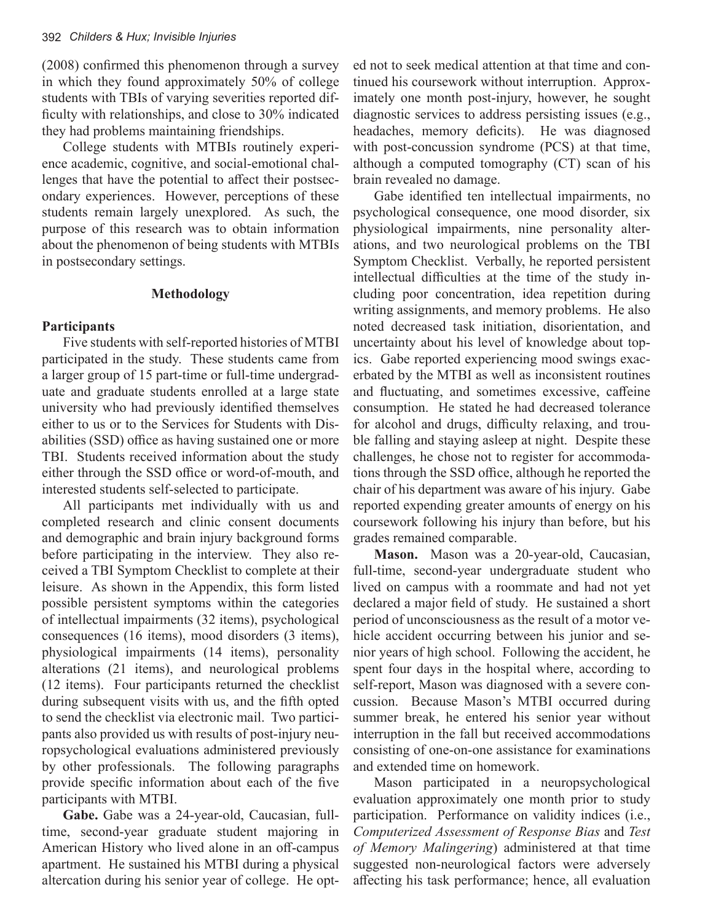(2008) confirmed this phenomenon through a survey in which they found approximately 50% of college students with TBIs of varying severities reported difficulty with relationships, and close to 30% indicated they had problems maintaining friendships.

College students with MTBIs routinely experience academic, cognitive, and social-emotional challenges that have the potential to affect their postsecondary experiences. However, perceptions of these students remain largely unexplored. As such, the purpose of this research was to obtain information about the phenomenon of being students with MTBIs in postsecondary settings.

#### **Methodology**

### **Participants**

Five students with self-reported histories of MTBI participated in the study. These students came from a larger group of 15 part-time or full-time undergraduate and graduate students enrolled at a large state university who had previously identified themselves either to us or to the Services for Students with Disabilities (SSD) office as having sustained one or more TBI. Students received information about the study either through the SSD office or word-of-mouth, and interested students self-selected to participate.

All participants met individually with us and completed research and clinic consent documents and demographic and brain injury background forms before participating in the interview. They also received a TBI Symptom Checklist to complete at their leisure. As shown in the Appendix, this form listed possible persistent symptoms within the categories of intellectual impairments (32 items), psychological consequences (16 items), mood disorders (3 items), physiological impairments (14 items), personality alterations (21 items), and neurological problems (12 items). Four participants returned the checklist during subsequent visits with us, and the fifth opted to send the checklist via electronic mail. Two participants also provided us with results of post-injury neuropsychological evaluations administered previously by other professionals. The following paragraphs provide specific information about each of the five participants with MTBI.

**Gabe.** Gabe was a 24-year-old, Caucasian, fulltime, second-year graduate student majoring in American History who lived alone in an off-campus apartment. He sustained his MTBI during a physical altercation during his senior year of college. He opted not to seek medical attention at that time and continued his coursework without interruption. Approximately one month post-injury, however, he sought diagnostic services to address persisting issues (e.g., headaches, memory deficits). He was diagnosed with post-concussion syndrome (PCS) at that time, although a computed tomography (CT) scan of his brain revealed no damage.

Gabe identified ten intellectual impairments, no psychological consequence, one mood disorder, six physiological impairments, nine personality alterations, and two neurological problems on the TBI Symptom Checklist. Verbally, he reported persistent intellectual difficulties at the time of the study including poor concentration, idea repetition during writing assignments, and memory problems. He also noted decreased task initiation, disorientation, and uncertainty about his level of knowledge about topics. Gabe reported experiencing mood swings exacerbated by the MTBI as well as inconsistent routines and fluctuating, and sometimes excessive, caffeine consumption. He stated he had decreased tolerance for alcohol and drugs, difficulty relaxing, and trouble falling and staying asleep at night. Despite these challenges, he chose not to register for accommodations through the SSD office, although he reported the chair of his department was aware of his injury. Gabe reported expending greater amounts of energy on his coursework following his injury than before, but his grades remained comparable.

**Mason.** Mason was a 20-year-old, Caucasian, full-time, second-year undergraduate student who lived on campus with a roommate and had not yet declared a major field of study. He sustained a short period of unconsciousness as the result of a motor vehicle accident occurring between his junior and senior years of high school. Following the accident, he spent four days in the hospital where, according to self-report, Mason was diagnosed with a severe concussion. Because Mason's MTBI occurred during summer break, he entered his senior year without interruption in the fall but received accommodations consisting of one-on-one assistance for examinations and extended time on homework.

Mason participated in a neuropsychological evaluation approximately one month prior to study participation. Performance on validity indices (i.e., *Computerized Assessment of Response Bias* and *Test of Memory Malingering*) administered at that time suggested non-neurological factors were adversely affecting his task performance; hence, all evaluation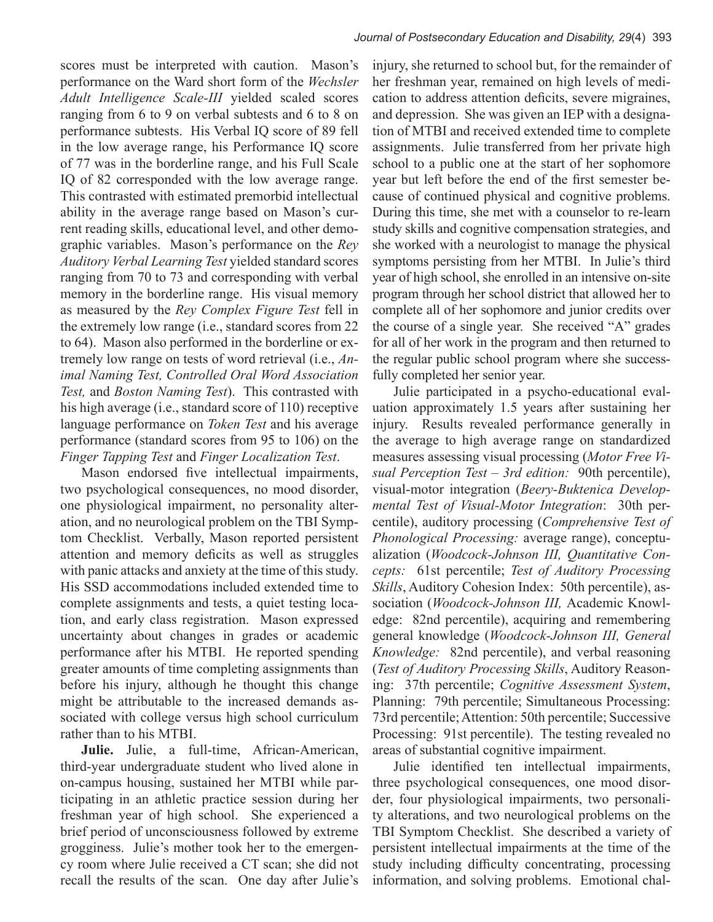scores must be interpreted with caution. Mason's performance on the Ward short form of the *Wechsler Adult Intelligence Scale-III* yielded scaled scores ranging from 6 to 9 on verbal subtests and 6 to 8 on performance subtests. His Verbal IQ score of 89 fell in the low average range, his Performance IQ score of 77 was in the borderline range, and his Full Scale IQ of 82 corresponded with the low average range. This contrasted with estimated premorbid intellectual ability in the average range based on Mason's current reading skills, educational level, and other demographic variables. Mason's performance on the *Rey Auditory Verbal Learning Test* yielded standard scores ranging from 70 to 73 and corresponding with verbal memory in the borderline range. His visual memory as measured by the *Rey Complex Figure Test* fell in the extremely low range (i.e., standard scores from 22 to 64). Mason also performed in the borderline or extremely low range on tests of word retrieval (i.e., *Animal Naming Test, Controlled Oral Word Association Test,* and *Boston Naming Test*). This contrasted with his high average (i.e., standard score of 110) receptive language performance on *Token Test* and his average performance (standard scores from 95 to 106) on the *Finger Tapping Test* and *Finger Localization Test*.

Mason endorsed five intellectual impairments, two psychological consequences, no mood disorder, one physiological impairment, no personality alteration, and no neurological problem on the TBI Symptom Checklist. Verbally, Mason reported persistent attention and memory deficits as well as struggles with panic attacks and anxiety at the time of this study. His SSD accommodations included extended time to complete assignments and tests, a quiet testing location, and early class registration. Mason expressed uncertainty about changes in grades or academic performance after his MTBI. He reported spending greater amounts of time completing assignments than before his injury, although he thought this change might be attributable to the increased demands associated with college versus high school curriculum rather than to his MTBI.

**Julie.** Julie, a full-time, African-American, third-year undergraduate student who lived alone in on-campus housing, sustained her MTBI while participating in an athletic practice session during her freshman year of high school. She experienced a brief period of unconsciousness followed by extreme grogginess. Julie's mother took her to the emergency room where Julie received a CT scan; she did not recall the results of the scan. One day after Julie's

injury, she returned to school but, for the remainder of her freshman year, remained on high levels of medication to address attention deficits, severe migraines, and depression. She was given an IEP with a designation of MTBI and received extended time to complete assignments. Julie transferred from her private high school to a public one at the start of her sophomore year but left before the end of the first semester because of continued physical and cognitive problems. During this time, she met with a counselor to re-learn study skills and cognitive compensation strategies, and she worked with a neurologist to manage the physical symptoms persisting from her MTBI. In Julie's third year of high school, she enrolled in an intensive on-site program through her school district that allowed her to complete all of her sophomore and junior credits over the course of a single year. She received "A" grades for all of her work in the program and then returned to the regular public school program where she successfully completed her senior year.

Julie participated in a psycho-educational evaluation approximately 1.5 years after sustaining her injury. Results revealed performance generally in the average to high average range on standardized measures assessing visual processing (*Motor Free Visual Perception Test – 3rd edition:* 90th percentile), visual-motor integration (*Beery-Buktenica Developmental Test of Visual-Motor Integration*: 30th percentile), auditory processing (*Comprehensive Test of Phonological Processing:* average range), conceptualization (*Woodcock-Johnson III, Quantitative Concepts:* 61st percentile; *Test of Auditory Processing Skills*, Auditory Cohesion Index: 50th percentile), association (*Woodcock-Johnson III,* Academic Knowledge: 82nd percentile), acquiring and remembering general knowledge (*Woodcock-Johnson III, General Knowledge:* 82nd percentile), and verbal reasoning (*Test of Auditory Processing Skills*, Auditory Reasoning: 37th percentile; *Cognitive Assessment System*, Planning: 79th percentile; Simultaneous Processing: 73rd percentile; Attention: 50th percentile; Successive Processing: 91st percentile). The testing revealed no areas of substantial cognitive impairment.

Julie identified ten intellectual impairments, three psychological consequences, one mood disorder, four physiological impairments, two personality alterations, and two neurological problems on the TBI Symptom Checklist. She described a variety of persistent intellectual impairments at the time of the study including difficulty concentrating, processing information, and solving problems. Emotional chal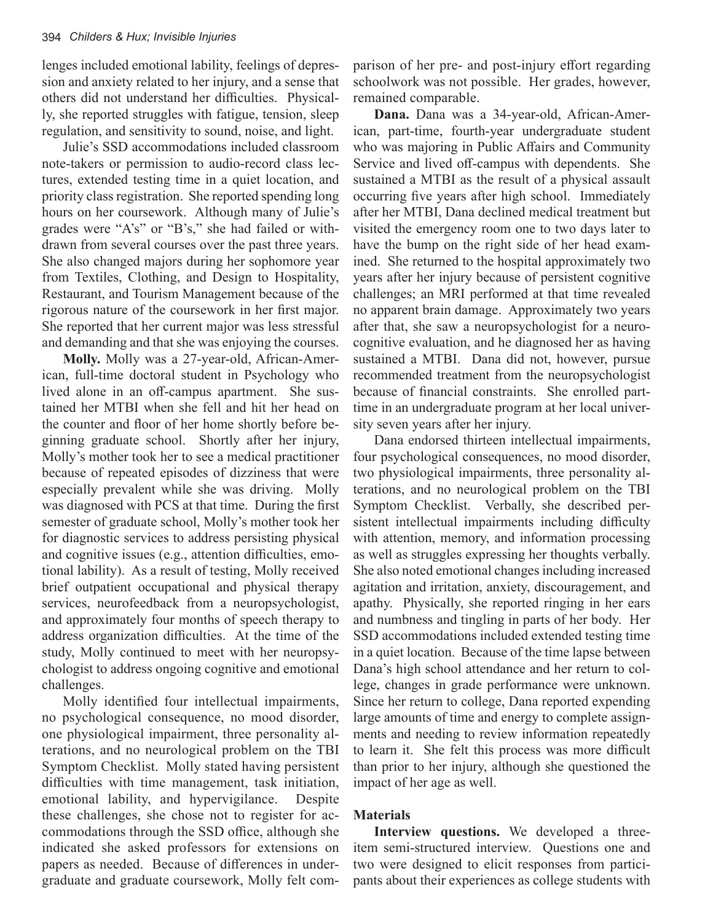lenges included emotional lability, feelings of depression and anxiety related to her injury, and a sense that others did not understand her difficulties. Physically, she reported struggles with fatigue, tension, sleep regulation, and sensitivity to sound, noise, and light.

Julie's SSD accommodations included classroom note-takers or permission to audio-record class lectures, extended testing time in a quiet location, and priority class registration. She reported spending long hours on her coursework. Although many of Julie's grades were "A's" or "B's," she had failed or withdrawn from several courses over the past three years. She also changed majors during her sophomore year from Textiles, Clothing, and Design to Hospitality, Restaurant, and Tourism Management because of the rigorous nature of the coursework in her first major. She reported that her current major was less stressful and demanding and that she was enjoying the courses.

**Molly.** Molly was a 27-year-old, African-American, full-time doctoral student in Psychology who lived alone in an off-campus apartment. She sustained her MTBI when she fell and hit her head on the counter and floor of her home shortly before beginning graduate school. Shortly after her injury, Molly's mother took her to see a medical practitioner because of repeated episodes of dizziness that were especially prevalent while she was driving. Molly was diagnosed with PCS at that time. During the first semester of graduate school, Molly's mother took her for diagnostic services to address persisting physical and cognitive issues (e.g., attention difficulties, emotional lability). As a result of testing, Molly received brief outpatient occupational and physical therapy services, neurofeedback from a neuropsychologist, and approximately four months of speech therapy to address organization difficulties. At the time of the study, Molly continued to meet with her neuropsychologist to address ongoing cognitive and emotional challenges.

Molly identified four intellectual impairments, no psychological consequence, no mood disorder, one physiological impairment, three personality alterations, and no neurological problem on the TBI Symptom Checklist. Molly stated having persistent difficulties with time management, task initiation, emotional lability, and hypervigilance. Despite these challenges, she chose not to register for accommodations through the SSD office, although she indicated she asked professors for extensions on papers as needed. Because of differences in undergraduate and graduate coursework, Molly felt comparison of her pre- and post-injury effort regarding schoolwork was not possible. Her grades, however, remained comparable.

**Dana.** Dana was a 34-year-old, African-American, part-time, fourth-year undergraduate student who was majoring in Public Affairs and Community Service and lived off-campus with dependents. She sustained a MTBI as the result of a physical assault occurring five years after high school. Immediately after her MTBI, Dana declined medical treatment but visited the emergency room one to two days later to have the bump on the right side of her head examined. She returned to the hospital approximately two years after her injury because of persistent cognitive challenges; an MRI performed at that time revealed no apparent brain damage. Approximately two years after that, she saw a neuropsychologist for a neurocognitive evaluation, and he diagnosed her as having sustained a MTBI. Dana did not, however, pursue recommended treatment from the neuropsychologist because of financial constraints. She enrolled parttime in an undergraduate program at her local university seven years after her injury.

Dana endorsed thirteen intellectual impairments, four psychological consequences, no mood disorder, two physiological impairments, three personality alterations, and no neurological problem on the TBI Symptom Checklist. Verbally, she described persistent intellectual impairments including difficulty with attention, memory, and information processing as well as struggles expressing her thoughts verbally. She also noted emotional changes including increased agitation and irritation, anxiety, discouragement, and apathy. Physically, she reported ringing in her ears and numbness and tingling in parts of her body. Her SSD accommodations included extended testing time in a quiet location. Because of the time lapse between Dana's high school attendance and her return to college, changes in grade performance were unknown. Since her return to college, Dana reported expending large amounts of time and energy to complete assignments and needing to review information repeatedly to learn it. She felt this process was more difficult than prior to her injury, although she questioned the impact of her age as well.

#### **Materials**

**Interview questions.** We developed a threeitem semi-structured interview. Questions one and two were designed to elicit responses from participants about their experiences as college students with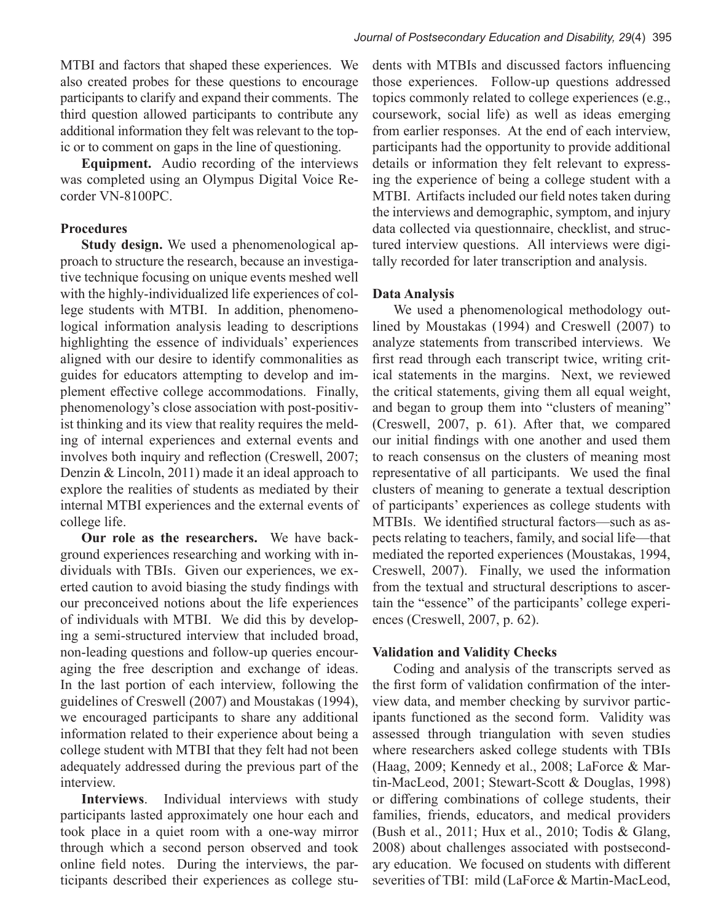MTBI and factors that shaped these experiences. We also created probes for these questions to encourage participants to clarify and expand their comments. The third question allowed participants to contribute any additional information they felt was relevant to the topic or to comment on gaps in the line of questioning.

**Equipment.** Audio recording of the interviews was completed using an Olympus Digital Voice Recorder VN-8100PC.

# **Procedures**

**Study design.** We used a phenomenological approach to structure the research, because an investigative technique focusing on unique events meshed well with the highly-individualized life experiences of college students with MTBI. In addition, phenomenological information analysis leading to descriptions highlighting the essence of individuals' experiences aligned with our desire to identify commonalities as guides for educators attempting to develop and implement effective college accommodations. Finally, phenomenology's close association with post-positivist thinking and its view that reality requires the melding of internal experiences and external events and involves both inquiry and reflection (Creswell, 2007; Denzin & Lincoln, 2011) made it an ideal approach to explore the realities of students as mediated by their internal MTBI experiences and the external events of college life.

**Our role as the researchers.** We have background experiences researching and working with individuals with TBIs. Given our experiences, we exerted caution to avoid biasing the study findings with our preconceived notions about the life experiences of individuals with MTBI. We did this by developing a semi-structured interview that included broad, non-leading questions and follow-up queries encouraging the free description and exchange of ideas. In the last portion of each interview, following the guidelines of Creswell (2007) and Moustakas (1994), we encouraged participants to share any additional information related to their experience about being a college student with MTBI that they felt had not been adequately addressed during the previous part of the interview.

**Interviews**. Individual interviews with study participants lasted approximately one hour each and took place in a quiet room with a one-way mirror through which a second person observed and took online field notes. During the interviews, the participants described their experiences as college students with MTBIs and discussed factors influencing those experiences. Follow-up questions addressed topics commonly related to college experiences (e.g., coursework, social life) as well as ideas emerging from earlier responses. At the end of each interview, participants had the opportunity to provide additional details or information they felt relevant to expressing the experience of being a college student with a MTBI. Artifacts included our field notes taken during the interviews and demographic, symptom, and injury data collected via questionnaire, checklist, and structured interview questions. All interviews were digitally recorded for later transcription and analysis.

# **Data Analysis**

We used a phenomenological methodology outlined by Moustakas (1994) and Creswell (2007) to analyze statements from transcribed interviews. We first read through each transcript twice, writing critical statements in the margins. Next, we reviewed the critical statements, giving them all equal weight, and began to group them into "clusters of meaning" (Creswell, 2007, p. 61). After that, we compared our initial findings with one another and used them to reach consensus on the clusters of meaning most representative of all participants. We used the final clusters of meaning to generate a textual description of participants' experiences as college students with MTBIs. We identified structural factors—such as aspects relating to teachers, family, and social life—that mediated the reported experiences (Moustakas, 1994, Creswell, 2007). Finally, we used the information from the textual and structural descriptions to ascertain the "essence" of the participants' college experiences (Creswell, 2007, p. 62).

# **Validation and Validity Checks**

Coding and analysis of the transcripts served as the first form of validation confirmation of the interview data, and member checking by survivor participants functioned as the second form. Validity was assessed through triangulation with seven studies where researchers asked college students with TBIs (Haag, 2009; Kennedy et al., 2008; LaForce & Martin-MacLeod, 2001; Stewart-Scott & Douglas, 1998) or differing combinations of college students, their families, friends, educators, and medical providers (Bush et al., 2011; Hux et al., 2010; Todis & Glang, 2008) about challenges associated with postsecondary education. We focused on students with different severities of TBI: mild (LaForce & Martin-MacLeod,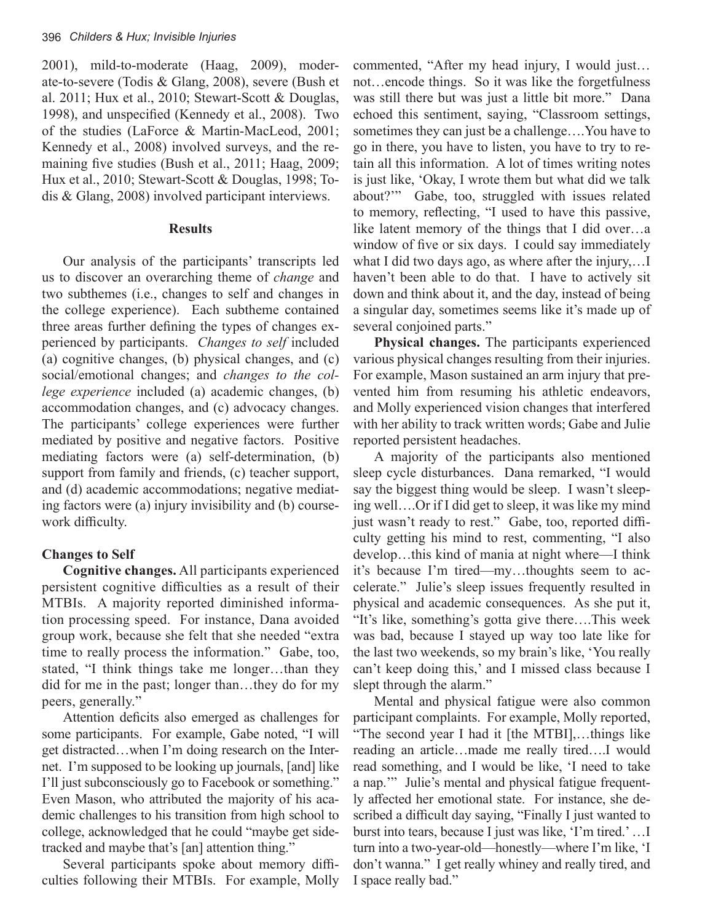2001), mild-to-moderate (Haag, 2009), moderate-to-severe (Todis & Glang, 2008), severe (Bush et al. 2011; Hux et al., 2010; Stewart-Scott & Douglas, 1998), and unspecified (Kennedy et al., 2008). Two of the studies (LaForce & Martin-MacLeod, 2001; Kennedy et al., 2008) involved surveys, and the remaining five studies (Bush et al., 2011; Haag, 2009; Hux et al., 2010; Stewart-Scott & Douglas, 1998; Todis & Glang, 2008) involved participant interviews.

#### **Results**

Our analysis of the participants' transcripts led us to discover an overarching theme of *change* and two subthemes (i.e., changes to self and changes in the college experience). Each subtheme contained three areas further defining the types of changes experienced by participants. *Changes to self* included (a) cognitive changes, (b) physical changes, and (c) social/emotional changes; and *changes to the college experience* included (a) academic changes, (b) accommodation changes, and (c) advocacy changes. The participants' college experiences were further mediated by positive and negative factors. Positive mediating factors were (a) self-determination, (b) support from family and friends, (c) teacher support, and (d) academic accommodations; negative mediating factors were (a) injury invisibility and (b) coursework difficulty.

# **Changes to Self**

**Cognitive changes.** All participants experienced persistent cognitive difficulties as a result of their MTBIs. A majority reported diminished information processing speed. For instance, Dana avoided group work, because she felt that she needed "extra time to really process the information." Gabe, too, stated, "I think things take me longer…than they did for me in the past; longer than…they do for my peers, generally."

Attention deficits also emerged as challenges for some participants. For example, Gabe noted, "I will get distracted…when I'm doing research on the Internet. I'm supposed to be looking up journals, [and] like I'll just subconsciously go to Facebook or something." Even Mason, who attributed the majority of his academic challenges to his transition from high school to college, acknowledged that he could "maybe get sidetracked and maybe that's [an] attention thing."

Several participants spoke about memory difficulties following their MTBIs. For example, Molly

commented, "After my head injury, I would just… not…encode things. So it was like the forgetfulness was still there but was just a little bit more." Dana echoed this sentiment, saying, "Classroom settings, sometimes they can just be a challenge….You have to go in there, you have to listen, you have to try to retain all this information. A lot of times writing notes is just like, 'Okay, I wrote them but what did we talk about?'" Gabe, too, struggled with issues related to memory, reflecting, "I used to have this passive, like latent memory of the things that I did over…a window of five or six days. I could say immediately what I did two days ago, as where after the injury,…I haven't been able to do that. I have to actively sit down and think about it, and the day, instead of being a singular day, sometimes seems like it's made up of several conjoined parts."

**Physical changes.** The participants experienced various physical changes resulting from their injuries. For example, Mason sustained an arm injury that prevented him from resuming his athletic endeavors, and Molly experienced vision changes that interfered with her ability to track written words; Gabe and Julie reported persistent headaches.

A majority of the participants also mentioned sleep cycle disturbances. Dana remarked, "I would say the biggest thing would be sleep. I wasn't sleeping well….Or if I did get to sleep, it was like my mind just wasn't ready to rest." Gabe, too, reported difficulty getting his mind to rest, commenting, "I also develop…this kind of mania at night where—I think it's because I'm tired—my…thoughts seem to accelerate." Julie's sleep issues frequently resulted in physical and academic consequences. As she put it, "It's like, something's gotta give there….This week was bad, because I stayed up way too late like for the last two weekends, so my brain's like, 'You really can't keep doing this,' and I missed class because I slept through the alarm."

Mental and physical fatigue were also common participant complaints. For example, Molly reported, "The second year I had it [the MTBI],…things like reading an article…made me really tired….I would read something, and I would be like, 'I need to take a nap.'" Julie's mental and physical fatigue frequently affected her emotional state. For instance, she described a difficult day saying, "Finally I just wanted to burst into tears, because I just was like, 'I'm tired.' …I turn into a two-year-old—honestly—where I'm like, 'I don't wanna." I get really whiney and really tired, and I space really bad."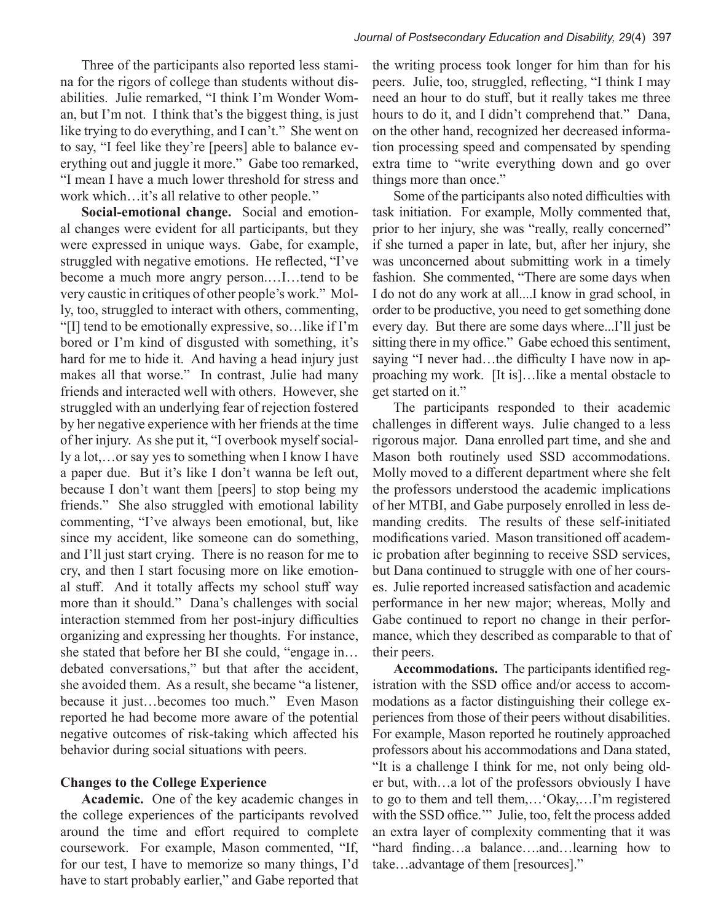Three of the participants also reported less stamina for the rigors of college than students without disabilities. Julie remarked, "I think I'm Wonder Woman, but I'm not. I think that's the biggest thing, is just like trying to do everything, and I can't." She went on to say, "I feel like they're [peers] able to balance everything out and juggle it more." Gabe too remarked, "I mean I have a much lower threshold for stress and work which…it's all relative to other people.''

**Social-emotional change.** Social and emotional changes were evident for all participants, but they were expressed in unique ways. Gabe, for example, struggled with negative emotions. He reflected, "I've become a much more angry person.…I…tend to be very caustic in critiques of other people's work." Molly, too, struggled to interact with others, commenting, "[I] tend to be emotionally expressive, so…like if I'm bored or I'm kind of disgusted with something, it's hard for me to hide it. And having a head injury just makes all that worse." In contrast, Julie had many friends and interacted well with others. However, she struggled with an underlying fear of rejection fostered by her negative experience with her friends at the time of her injury. As she put it, "I overbook myself socially a lot,…or say yes to something when I know I have a paper due. But it's like I don't wanna be left out, because I don't want them [peers] to stop being my friends." She also struggled with emotional lability commenting, "I've always been emotional, but, like since my accident, like someone can do something, and I'll just start crying. There is no reason for me to cry, and then I start focusing more on like emotional stuff. And it totally affects my school stuff way more than it should." Dana's challenges with social interaction stemmed from her post-injury difficulties organizing and expressing her thoughts. For instance, she stated that before her BI she could, "engage in… debated conversations," but that after the accident, she avoided them. As a result, she became "a listener, because it just…becomes too much." Even Mason reported he had become more aware of the potential negative outcomes of risk-taking which affected his behavior during social situations with peers.

# **Changes to the College Experience**

**Academic.** One of the key academic changes in the college experiences of the participants revolved around the time and effort required to complete coursework. For example, Mason commented, "If, for our test, I have to memorize so many things, I'd have to start probably earlier," and Gabe reported that

the writing process took longer for him than for his peers. Julie, too, struggled, reflecting, "I think I may need an hour to do stuff, but it really takes me three hours to do it, and I didn't comprehend that." Dana, on the other hand, recognized her decreased information processing speed and compensated by spending extra time to "write everything down and go over things more than once."

Some of the participants also noted difficulties with task initiation. For example, Molly commented that, prior to her injury, she was "really, really concerned" if she turned a paper in late, but, after her injury, she was unconcerned about submitting work in a timely fashion. She commented, "There are some days when I do not do any work at all....I know in grad school, in order to be productive, you need to get something done every day. But there are some days where...I'll just be sitting there in my office." Gabe echoed this sentiment, saying "I never had…the difficulty I have now in approaching my work. [It is]…like a mental obstacle to get started on it."

The participants responded to their academic challenges in different ways. Julie changed to a less rigorous major. Dana enrolled part time, and she and Mason both routinely used SSD accommodations. Molly moved to a different department where she felt the professors understood the academic implications of her MTBI, and Gabe purposely enrolled in less demanding credits. The results of these self-initiated modifications varied. Mason transitioned off academic probation after beginning to receive SSD services, but Dana continued to struggle with one of her courses. Julie reported increased satisfaction and academic performance in her new major; whereas, Molly and Gabe continued to report no change in their performance, which they described as comparable to that of their peers.

**Accommodations.** The participants identified registration with the SSD office and/or access to accommodations as a factor distinguishing their college experiences from those of their peers without disabilities. For example, Mason reported he routinely approached professors about his accommodations and Dana stated, "It is a challenge I think for me, not only being older but, with…a lot of the professors obviously I have to go to them and tell them,…'Okay,…I'm registered with the SSD office.'" Julie, too, felt the process added an extra layer of complexity commenting that it was "hard finding…a balance….and…learning how to take…advantage of them [resources]."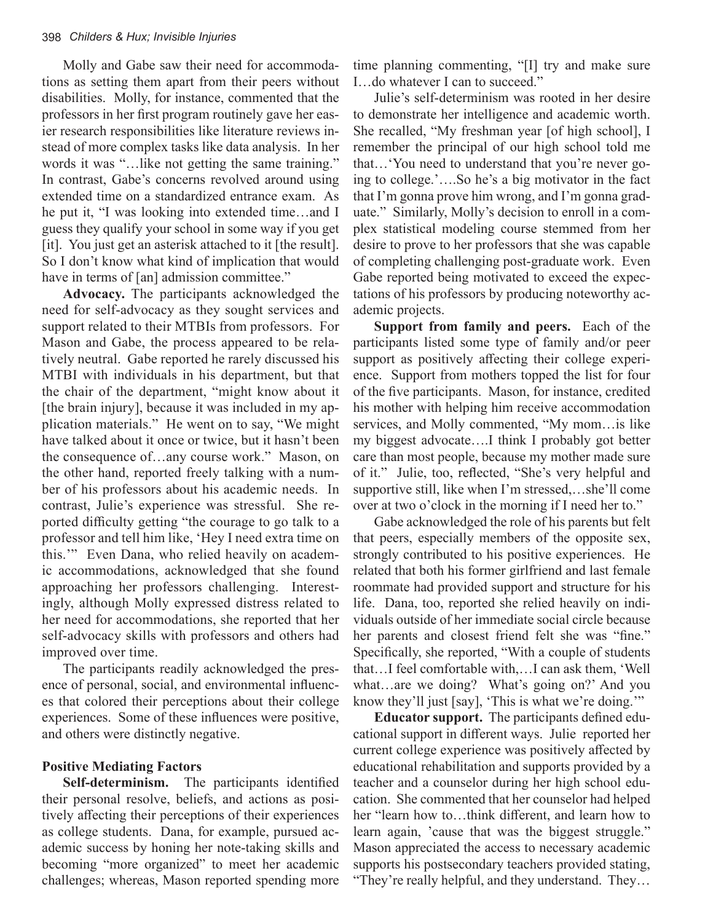Molly and Gabe saw their need for accommodations as setting them apart from their peers without disabilities. Molly, for instance, commented that the professors in her first program routinely gave her easier research responsibilities like literature reviews instead of more complex tasks like data analysis. In her words it was "…like not getting the same training." In contrast, Gabe's concerns revolved around using extended time on a standardized entrance exam. As he put it, "I was looking into extended time…and I guess they qualify your school in some way if you get [it]. You just get an asterisk attached to it [the result]. So I don't know what kind of implication that would have in terms of [an] admission committee."

**Advocacy.** The participants acknowledged the need for self-advocacy as they sought services and support related to their MTBIs from professors. For Mason and Gabe, the process appeared to be relatively neutral. Gabe reported he rarely discussed his MTBI with individuals in his department, but that the chair of the department, "might know about it [the brain injury], because it was included in my application materials." He went on to say, "We might have talked about it once or twice, but it hasn't been the consequence of…any course work." Mason, on the other hand, reported freely talking with a number of his professors about his academic needs. In contrast, Julie's experience was stressful. She reported difficulty getting "the courage to go talk to a professor and tell him like, 'Hey I need extra time on this.'" Even Dana, who relied heavily on academic accommodations, acknowledged that she found approaching her professors challenging. Interestingly, although Molly expressed distress related to her need for accommodations, she reported that her self-advocacy skills with professors and others had improved over time.

The participants readily acknowledged the presence of personal, social, and environmental influences that colored their perceptions about their college experiences. Some of these influences were positive, and others were distinctly negative.

#### **Positive Mediating Factors**

**Self-determinism.** The participants identified their personal resolve, beliefs, and actions as positively affecting their perceptions of their experiences as college students. Dana, for example, pursued academic success by honing her note-taking skills and becoming "more organized" to meet her academic challenges; whereas, Mason reported spending more

time planning commenting, "[I] try and make sure I…do whatever I can to succeed."

Julie's self-determinism was rooted in her desire to demonstrate her intelligence and academic worth. She recalled, "My freshman year [of high school], I remember the principal of our high school told me that…'You need to understand that you're never going to college.'….So he's a big motivator in the fact that I'm gonna prove him wrong, and I'm gonna graduate." Similarly, Molly's decision to enroll in a complex statistical modeling course stemmed from her desire to prove to her professors that she was capable of completing challenging post-graduate work. Even Gabe reported being motivated to exceed the expectations of his professors by producing noteworthy academic projects.

**Support from family and peers.** Each of the participants listed some type of family and/or peer support as positively affecting their college experience. Support from mothers topped the list for four of the five participants. Mason, for instance, credited his mother with helping him receive accommodation services, and Molly commented, "My mom…is like my biggest advocate….I think I probably got better care than most people, because my mother made sure of it." Julie, too, reflected, "She's very helpful and supportive still, like when I'm stressed,…she'll come over at two o'clock in the morning if I need her to."

Gabe acknowledged the role of his parents but felt that peers, especially members of the opposite sex, strongly contributed to his positive experiences. He related that both his former girlfriend and last female roommate had provided support and structure for his life. Dana, too, reported she relied heavily on individuals outside of her immediate social circle because her parents and closest friend felt she was "fine." Specifically, she reported, "With a couple of students that…I feel comfortable with,…I can ask them, 'Well what…are we doing? What's going on?' And you know they'll just [say], 'This is what we're doing.'"

**Educator support.** The participants defined educational support in different ways. Julie reported her current college experience was positively affected by educational rehabilitation and supports provided by a teacher and a counselor during her high school education. She commented that her counselor had helped her "learn how to…think different, and learn how to learn again, 'cause that was the biggest struggle." Mason appreciated the access to necessary academic supports his postsecondary teachers provided stating, "They're really helpful, and they understand. They…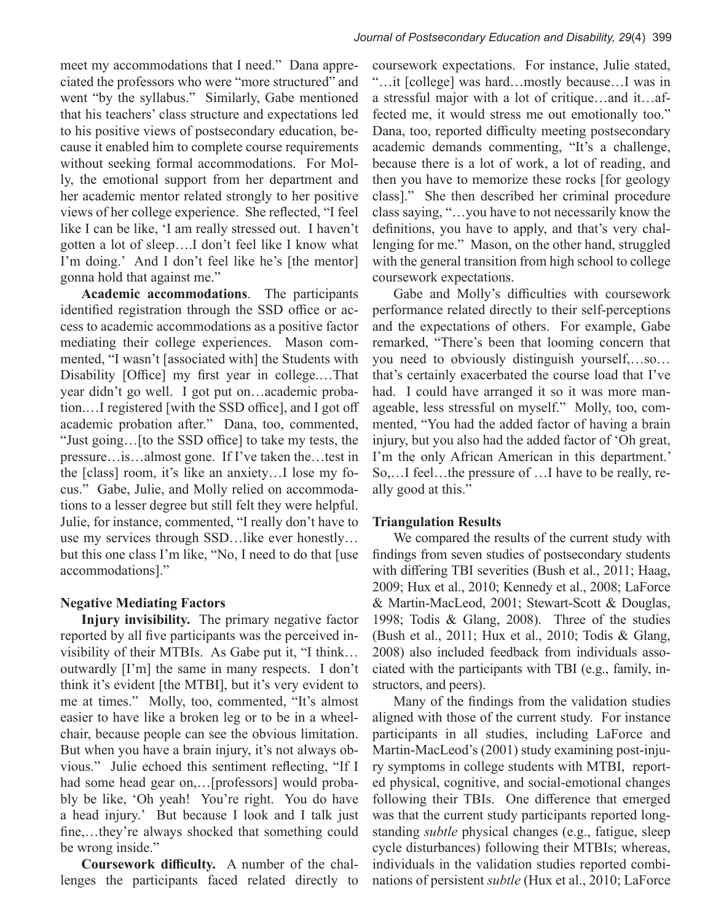meet my accommodations that I need." Dana appreciated the professors who were "more structured" and went "by the syllabus." Similarly, Gabe mentioned that his teachers' class structure and expectations led to his positive views of postsecondary education, because it enabled him to complete course requirements without seeking formal accommodations. For Molly, the emotional support from her department and her academic mentor related strongly to her positive views of her college experience. She reflected, "I feel like I can be like, 'I am really stressed out. I haven't gotten a lot of sleep….I don't feel like I know what I'm doing.' And I don't feel like he's [the mentor] gonna hold that against me."

**Academic accommodations**. The participants identified registration through the SSD office or access to academic accommodations as a positive factor mediating their college experiences. Mason commented, "I wasn't [associated with] the Students with Disability [Office] my first year in college.…That year didn't go well. I got put on…academic probation.…I registered [with the SSD office], and I got off academic probation after." Dana, too, commented, "Just going…[to the SSD office] to take my tests, the pressure…is…almost gone. If I've taken the…test in the [class] room, it's like an anxiety…I lose my focus." Gabe, Julie, and Molly relied on accommodations to a lesser degree but still felt they were helpful. Julie, for instance, commented, "I really don't have to use my services through SSD…like ever honestly… but this one class I'm like, "No, I need to do that [use accommodations]."

# **Negative Mediating Factors**

**Injury invisibility.** The primary negative factor reported by all five participants was the perceived invisibility of their MTBIs. As Gabe put it, "I think… outwardly [I'm] the same in many respects. I don't think it's evident [the MTBI], but it's very evident to me at times." Molly, too, commented, "It's almost easier to have like a broken leg or to be in a wheelchair, because people can see the obvious limitation. But when you have a brain injury, it's not always obvious." Julie echoed this sentiment reflecting, "If I had some head gear on,…[professors] would probably be like, 'Oh yeah! You're right. You do have a head injury.' But because I look and I talk just fine,…they're always shocked that something could be wrong inside."

**Coursework difficulty.** A number of the challenges the participants faced related directly to coursework expectations. For instance, Julie stated, "…it [college] was hard…mostly because…I was in a stressful major with a lot of critique…and it…affected me, it would stress me out emotionally too." Dana, too, reported difficulty meeting postsecondary academic demands commenting, "It's a challenge, because there is a lot of work, a lot of reading, and then you have to memorize these rocks [for geology class]." She then described her criminal procedure class saying, "…you have to not necessarily know the definitions, you have to apply, and that's very challenging for me." Mason, on the other hand, struggled with the general transition from high school to college coursework expectations.

Gabe and Molly's difficulties with coursework performance related directly to their self-perceptions and the expectations of others. For example, Gabe remarked, "There's been that looming concern that you need to obviously distinguish yourself,…so… that's certainly exacerbated the course load that I've had. I could have arranged it so it was more manageable, less stressful on myself." Molly, too, commented, "You had the added factor of having a brain injury, but you also had the added factor of 'Oh great, I'm the only African American in this department.' So,…I feel…the pressure of …I have to be really, really good at this."

# **Triangulation Results**

We compared the results of the current study with findings from seven studies of postsecondary students with differing TBI severities (Bush et al., 2011; Haag, 2009; Hux et al., 2010; Kennedy et al., 2008; LaForce & Martin-MacLeod, 2001; Stewart-Scott & Douglas, 1998; Todis & Glang, 2008). Three of the studies (Bush et al., 2011; Hux et al., 2010; Todis & Glang, 2008) also included feedback from individuals associated with the participants with TBI (e.g., family, instructors, and peers).

Many of the findings from the validation studies aligned with those of the current study. For instance participants in all studies, including LaForce and Martin-MacLeod's (2001) study examining post-injury symptoms in college students with MTBI, reported physical, cognitive, and social-emotional changes following their TBIs. One difference that emerged was that the current study participants reported longstanding *subtle* physical changes (e.g., fatigue, sleep cycle disturbances) following their MTBIs; whereas, individuals in the validation studies reported combinations of persistent *subtle* (Hux et al., 2010; LaForce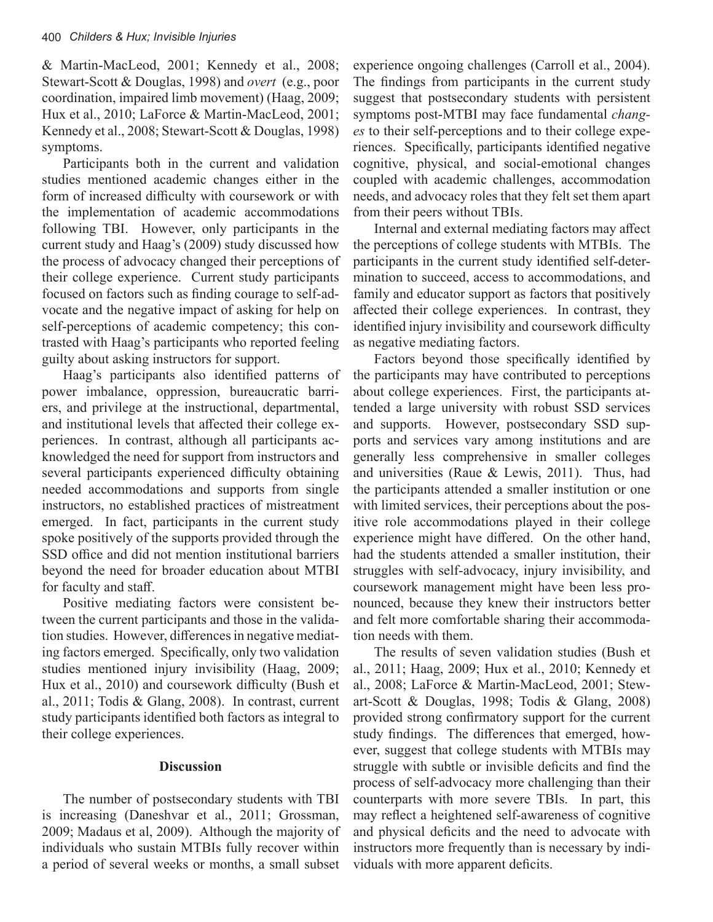& Martin-MacLeod, 2001; Kennedy et al., 2008; Stewart-Scott & Douglas, 1998) and *overt* (e.g., poor coordination, impaired limb movement) (Haag, 2009; Hux et al., 2010; LaForce & Martin-MacLeod, 2001; Kennedy et al., 2008; Stewart-Scott & Douglas, 1998) symptoms.

Participants both in the current and validation studies mentioned academic changes either in the form of increased difficulty with coursework or with the implementation of academic accommodations following TBI. However, only participants in the current study and Haag's (2009) study discussed how the process of advocacy changed their perceptions of their college experience. Current study participants focused on factors such as finding courage to self-advocate and the negative impact of asking for help on self-perceptions of academic competency; this contrasted with Haag's participants who reported feeling guilty about asking instructors for support.

Haag's participants also identified patterns of power imbalance, oppression, bureaucratic barriers, and privilege at the instructional, departmental, and institutional levels that affected their college experiences. In contrast, although all participants acknowledged the need for support from instructors and several participants experienced difficulty obtaining needed accommodations and supports from single instructors, no established practices of mistreatment emerged. In fact, participants in the current study spoke positively of the supports provided through the SSD office and did not mention institutional barriers beyond the need for broader education about MTBI for faculty and staff.

Positive mediating factors were consistent between the current participants and those in the validation studies. However, differences in negative mediating factors emerged. Specifically, only two validation studies mentioned injury invisibility (Haag, 2009; Hux et al., 2010) and coursework difficulty (Bush et al., 2011; Todis & Glang, 2008). In contrast, current study participants identified both factors as integral to their college experiences.

# **Discussion**

The number of postsecondary students with TBI is increasing (Daneshvar et al., 2011; Grossman, 2009; Madaus et al, 2009). Although the majority of individuals who sustain MTBIs fully recover within a period of several weeks or months, a small subset

experience ongoing challenges (Carroll et al., 2004). The findings from participants in the current study suggest that postsecondary students with persistent symptoms post-MTBI may face fundamental *changes* to their self-perceptions and to their college experiences. Specifically, participants identified negative cognitive, physical, and social-emotional changes coupled with academic challenges, accommodation needs, and advocacy roles that they felt set them apart from their peers without TBIs.

Internal and external mediating factors may affect the perceptions of college students with MTBIs. The participants in the current study identified self-determination to succeed, access to accommodations, and family and educator support as factors that positively affected their college experiences. In contrast, they identified injury invisibility and coursework difficulty as negative mediating factors.

Factors beyond those specifically identified by the participants may have contributed to perceptions about college experiences. First, the participants attended a large university with robust SSD services and supports. However, postsecondary SSD supports and services vary among institutions and are generally less comprehensive in smaller colleges and universities (Raue & Lewis, 2011). Thus, had the participants attended a smaller institution or one with limited services, their perceptions about the positive role accommodations played in their college experience might have differed. On the other hand, had the students attended a smaller institution, their struggles with self-advocacy, injury invisibility, and coursework management might have been less pronounced, because they knew their instructors better and felt more comfortable sharing their accommodation needs with them.

The results of seven validation studies (Bush et al., 2011; Haag, 2009; Hux et al., 2010; Kennedy et al., 2008; LaForce & Martin-MacLeod, 2001; Stewart-Scott & Douglas, 1998; Todis & Glang, 2008) provided strong confirmatory support for the current study findings. The differences that emerged, however, suggest that college students with MTBIs may struggle with subtle or invisible deficits and find the process of self-advocacy more challenging than their counterparts with more severe TBIs. In part, this may reflect a heightened self-awareness of cognitive and physical deficits and the need to advocate with instructors more frequently than is necessary by individuals with more apparent deficits.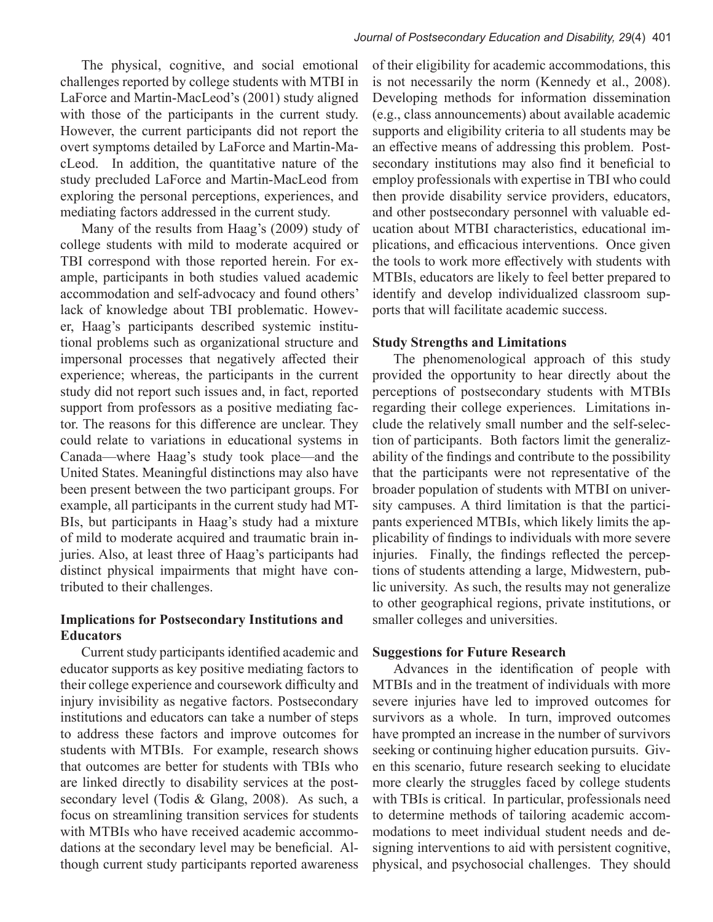The physical, cognitive, and social emotional challenges reported by college students with MTBI in LaForce and Martin-MacLeod's (2001) study aligned with those of the participants in the current study. However, the current participants did not report the overt symptoms detailed by LaForce and Martin-MacLeod. In addition, the quantitative nature of the study precluded LaForce and Martin-MacLeod from exploring the personal perceptions, experiences, and mediating factors addressed in the current study.

Many of the results from Haag's (2009) study of college students with mild to moderate acquired or TBI correspond with those reported herein. For example, participants in both studies valued academic accommodation and self-advocacy and found others' lack of knowledge about TBI problematic. However, Haag's participants described systemic institutional problems such as organizational structure and impersonal processes that negatively affected their experience; whereas, the participants in the current study did not report such issues and, in fact, reported support from professors as a positive mediating factor. The reasons for this difference are unclear. They could relate to variations in educational systems in Canada—where Haag's study took place—and the United States. Meaningful distinctions may also have been present between the two participant groups. For example, all participants in the current study had MT-BIs, but participants in Haag's study had a mixture of mild to moderate acquired and traumatic brain injuries. Also, at least three of Haag's participants had distinct physical impairments that might have contributed to their challenges.

# **Implications for Postsecondary Institutions and Educators**

Current study participants identified academic and educator supports as key positive mediating factors to their college experience and coursework difficulty and injury invisibility as negative factors. Postsecondary institutions and educators can take a number of steps to address these factors and improve outcomes for students with MTBIs. For example, research shows that outcomes are better for students with TBIs who are linked directly to disability services at the postsecondary level (Todis & Glang, 2008). As such, a focus on streamlining transition services for students with MTBIs who have received academic accommodations at the secondary level may be beneficial. Although current study participants reported awareness

of their eligibility for academic accommodations, this is not necessarily the norm (Kennedy et al., 2008). Developing methods for information dissemination (e.g., class announcements) about available academic supports and eligibility criteria to all students may be an effective means of addressing this problem. Postsecondary institutions may also find it beneficial to employ professionals with expertise in TBI who could then provide disability service providers, educators, and other postsecondary personnel with valuable education about MTBI characteristics, educational implications, and efficacious interventions. Once given the tools to work more effectively with students with MTBIs, educators are likely to feel better prepared to identify and develop individualized classroom supports that will facilitate academic success.

# **Study Strengths and Limitations**

The phenomenological approach of this study provided the opportunity to hear directly about the perceptions of postsecondary students with MTBIs regarding their college experiences. Limitations include the relatively small number and the self-selection of participants. Both factors limit the generalizability of the findings and contribute to the possibility that the participants were not representative of the broader population of students with MTBI on university campuses. A third limitation is that the participants experienced MTBIs, which likely limits the applicability of findings to individuals with more severe injuries. Finally, the findings reflected the perceptions of students attending a large, Midwestern, public university. As such, the results may not generalize to other geographical regions, private institutions, or smaller colleges and universities.

# **Suggestions for Future Research**

Advances in the identification of people with MTBIs and in the treatment of individuals with more severe injuries have led to improved outcomes for survivors as a whole. In turn, improved outcomes have prompted an increase in the number of survivors seeking or continuing higher education pursuits. Given this scenario, future research seeking to elucidate more clearly the struggles faced by college students with TBIs is critical. In particular, professionals need to determine methods of tailoring academic accommodations to meet individual student needs and designing interventions to aid with persistent cognitive, physical, and psychosocial challenges. They should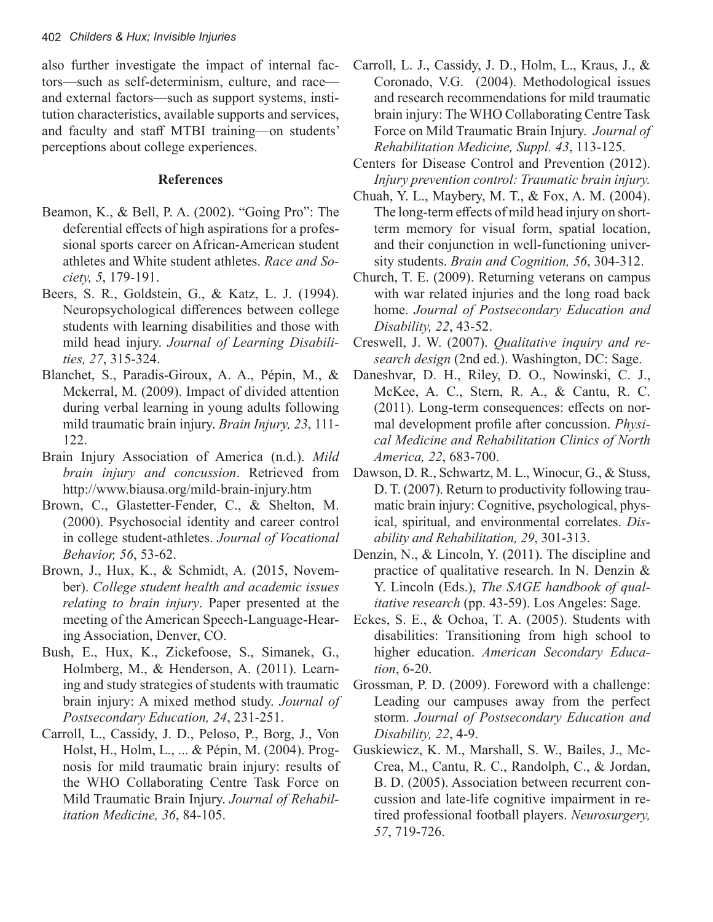also further investigate the impact of internal factors—such as self-determinism, culture, and race and external factors—such as support systems, institution characteristics, available supports and services, and faculty and staff MTBI training—on students' perceptions about college experiences.

# **References**

- Beamon, K., & Bell, P. A. (2002). "Going Pro": The deferential effects of high aspirations for a professional sports career on African-American student athletes and White student athletes. *Race and Society, 5*, 179-191.
- Beers, S. R., Goldstein, G., & Katz, L. J. (1994). Neuropsychological differences between college students with learning disabilities and those with mild head injury. *Journal of Learning Disabilities, 27*, 315-324.
- Blanchet, S., Paradis-Giroux, A. A., Pépin, M., & Mckerral, M. (2009). Impact of divided attention during verbal learning in young adults following mild traumatic brain injury. *Brain Injury, 23*, 111- 122.
- Brain Injury Association of America (n.d.). *Mild brain injury and concussion*. Retrieved from http://www.biausa.org/mild-brain-injury.htm
- Brown, C., Glastetter-Fender, C., & Shelton, M. (2000). Psychosocial identity and career control in college student-athletes. *Journal of Vocational Behavior, 56*, 53-62.
- Brown, J., Hux, K., & Schmidt, A. (2015, November). *College student health and academic issues relating to brain injury*. Paper presented at the meeting of the American Speech-Language-Hearing Association, Denver, CO.
- Bush, E., Hux, K., Zickefoose, S., Simanek, G., Holmberg, M., & Henderson, A. (2011). Learning and study strategies of students with traumatic brain injury: A mixed method study. *Journal of Postsecondary Education, 24*, 231-251.
- Carroll, L., Cassidy, J. D., Peloso, P., Borg, J., Von Holst, H., Holm, L., ... & Pépin, M. (2004). Prognosis for mild traumatic brain injury: results of the WHO Collaborating Centre Task Force on Mild Traumatic Brain Injury. *Journal of Rehabilitation Medicine, 36*, 84-105.
- Carroll, L. J., Cassidy, J. D., Holm, L., Kraus, J., & Coronado, V.G. (2004). Methodological issues and research recommendations for mild traumatic brain injury: The WHO Collaborating Centre Task Force on Mild Traumatic Brain Injury. *Journal of Rehabilitation Medicine, Suppl. 43*, 113-125.
- Centers for Disease Control and Prevention (2012). *Injury prevention control: Traumatic brain injury.*
- Chuah, Y. L., Maybery, M. T., & Fox, A. M. (2004). The long-term effects of mild head injury on shortterm memory for visual form, spatial location, and their conjunction in well-functioning university students. *Brain and Cognition, 56*, 304-312.
- Church, T. E. (2009). Returning veterans on campus with war related injuries and the long road back home. *Journal of Postsecondary Education and Disability, 22*, 43-52.
- Creswell, J. W. (2007). *Qualitative inquiry and research design* (2nd ed.). Washington, DC: Sage.
- Daneshvar, D. H., Riley, D. O., Nowinski, C. J., McKee, A. C., Stern, R. A., & Cantu, R. C. (2011). Long-term consequences: effects on normal development profile after concussion. *Physical Medicine and Rehabilitation Clinics of North America, 22*, 683-700.
- Dawson, D. R., Schwartz, M. L., Winocur, G., & Stuss, D. T. (2007). Return to productivity following traumatic brain injury: Cognitive, psychological, physical, spiritual, and environmental correlates. *Disability and Rehabilitation, 29*, 301-313.
- Denzin, N., & Lincoln, Y. (2011). The discipline and practice of qualitative research. In N. Denzin & Y. Lincoln (Eds.), *The SAGE handbook of qualitative research* (pp. 43-59). Los Angeles: Sage.
- Eckes, S. E., & Ochoa, T. A. (2005). Students with disabilities: Transitioning from high school to higher education. *American Secondary Education*, 6-20.
- Grossman, P. D. (2009). Foreword with a challenge: Leading our campuses away from the perfect storm. *Journal of Postsecondary Education and Disability, 22*, 4-9.
- Guskiewicz, K. M., Marshall, S. W., Bailes, J., Mc-Crea, M., Cantu, R. C., Randolph, C., & Jordan, B. D. (2005). Association between recurrent concussion and late-life cognitive impairment in retired professional football players. *Neurosurgery, 57*, 719-726.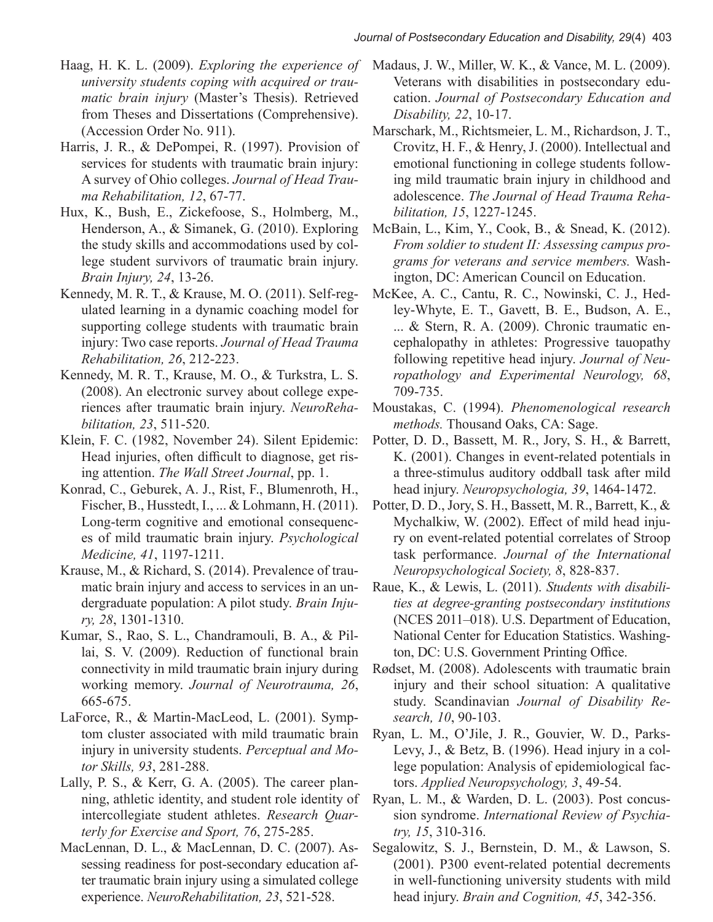- Haag, H. K. L. (2009). *Exploring the experience of university students coping with acquired or traumatic brain injury* (Master's Thesis). Retrieved from Theses and Dissertations (Comprehensive). (Accession Order No. 911).
- Harris, J. R., & DePompei, R. (1997). Provision of services for students with traumatic brain injury: A survey of Ohio colleges. *Journal of Head Trauma Rehabilitation, 12*, 67-77.
- Hux, K., Bush, E., Zickefoose, S., Holmberg, M., Henderson, A., & Simanek, G. (2010). Exploring the study skills and accommodations used by college student survivors of traumatic brain injury. *Brain Injury, 24*, 13-26.
- Kennedy, M. R. T., & Krause, M. O. (2011). Self-regulated learning in a dynamic coaching model for supporting college students with traumatic brain injury: Two case reports. *Journal of Head Trauma Rehabilitation, 26*, 212-223.
- Kennedy, M. R. T., Krause, M. O., & Turkstra, L. S. (2008). An electronic survey about college experiences after traumatic brain injury. *NeuroRehabilitation, 23*, 511-520.
- Klein, F. C. (1982, November 24). Silent Epidemic: Head injuries, often difficult to diagnose, get rising attention. *The Wall Street Journal*, pp. 1.
- Konrad, C., Geburek, A. J., Rist, F., Blumenroth, H., Fischer, B., Husstedt, I., ... & Lohmann, H. (2011). Long-term cognitive and emotional consequences of mild traumatic brain injury. *Psychological Medicine, 41*, 1197-1211.
- Krause, M., & Richard, S. (2014). Prevalence of traumatic brain injury and access to services in an undergraduate population: A pilot study. *Brain Injury, 28*, 1301-1310.
- Kumar, S., Rao, S. L., Chandramouli, B. A., & Pillai, S. V. (2009). Reduction of functional brain connectivity in mild traumatic brain injury during working memory. *Journal of Neurotrauma, 26*, 665-675.
- LaForce, R., & Martin-MacLeod, L. (2001). Symptom cluster associated with mild traumatic brain injury in university students. *Perceptual and Motor Skills, 93*, 281-288.
- Lally, P. S., & Kerr, G. A. (2005). The career planning, athletic identity, and student role identity of intercollegiate student athletes. *Research Quarterly for Exercise and Sport, 76*, 275-285.
- MacLennan, D. L., & MacLennan, D. C. (2007). Assessing readiness for post-secondary education after traumatic brain injury using a simulated college experience. *NeuroRehabilitation, 23*, 521-528.
- Madaus, J. W., Miller, W. K., & Vance, M. L. (2009). Veterans with disabilities in postsecondary education. *Journal of Postsecondary Education and Disability, 22*, 10-17.
- Marschark, M., Richtsmeier, L. M., Richardson, J. T., Crovitz, H. F., & Henry, J. (2000). Intellectual and emotional functioning in college students following mild traumatic brain injury in childhood and adolescence. *The Journal of Head Trauma Rehabilitation, 15*, 1227-1245.
- McBain, L., Kim, Y., Cook, B., & Snead, K. (2012). *From soldier to student II: Assessing campus programs for veterans and service members.* Washington, DC: American Council on Education.
- McKee, A. C., Cantu, R. C., Nowinski, C. J., Hedley-Whyte, E. T., Gavett, B. E., Budson, A. E., ... & Stern, R. A. (2009). Chronic traumatic encephalopathy in athletes: Progressive tauopathy following repetitive head injury. *Journal of Neuropathology and Experimental Neurology, 68*, 709-735.
- Moustakas, C. (1994). *Phenomenological research methods.* Thousand Oaks, CA: Sage.
- Potter, D. D., Bassett, M. R., Jory, S. H., & Barrett, K. (2001). Changes in event-related potentials in a three-stimulus auditory oddball task after mild head injury. *Neuropsychologia, 39*, 1464-1472.
- Potter, D. D., Jory, S. H., Bassett, M. R., Barrett, K., & Mychalkiw, W. (2002). Effect of mild head injury on event-related potential correlates of Stroop task performance. *Journal of the International Neuropsychological Society, 8*, 828-837.
- Raue, K., & Lewis, L. (2011). *Students with disabilities at degree-granting postsecondary institutions* (NCES 2011–018). U.S. Department of Education, National Center for Education Statistics. Washington, DC: U.S. Government Printing Office.
- Rødset, M. (2008). Adolescents with traumatic brain injury and their school situation: A qualitative study. Scandinavian *Journal of Disability Research, 10*, 90-103.
- Ryan, L. M., O'Jile, J. R., Gouvier, W. D., Parks-Levy, J., & Betz, B. (1996). Head injury in a college population: Analysis of epidemiological factors. *Applied Neuropsychology, 3*, 49-54.
- Ryan, L. M., & Warden, D. L. (2003). Post concussion syndrome. *International Review of Psychiatry, 15*, 310-316.
- Segalowitz, S. J., Bernstein, D. M., & Lawson, S. (2001). P300 event-related potential decrements in well-functioning university students with mild head injury. *Brain and Cognition, 45*, 342-356.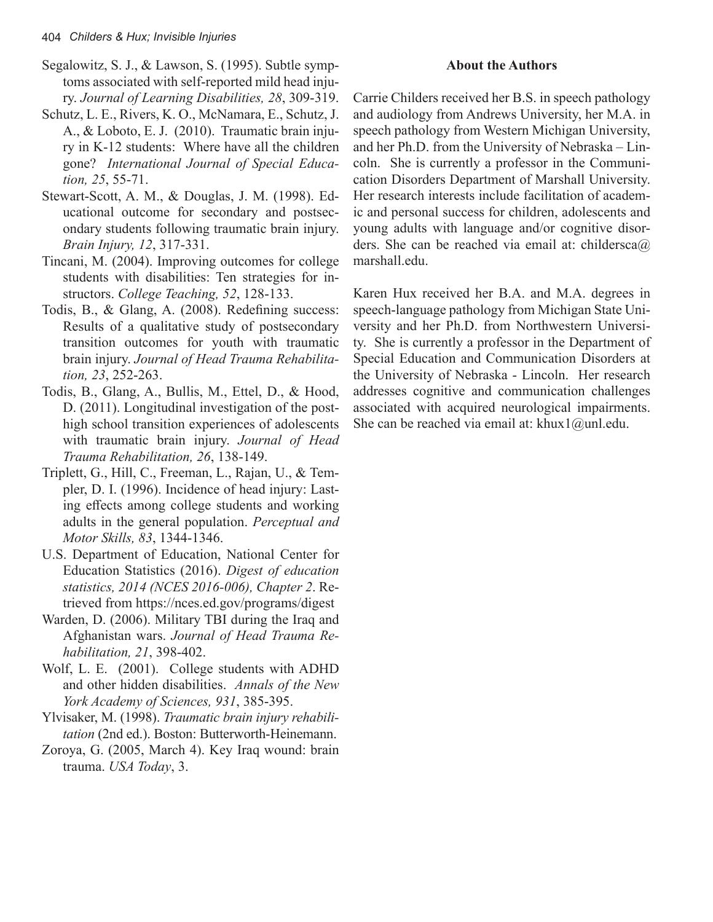- Segalowitz, S. J., & Lawson, S. (1995). Subtle symptoms associated with self-reported mild head injury. *Journal of Learning Disabilities, 28*, 309-319.
- Schutz, L. E., Rivers, K. O., McNamara, E., Schutz, J. A., & Loboto, E. J. (2010). Traumatic brain injury in K-12 students: Where have all the children gone? *International Journal of Special Education, 25*, 55-71.
- Stewart-Scott, A. M., & Douglas, J. M. (1998). Educational outcome for secondary and postsecondary students following traumatic brain injury. *Brain Injury, 12*, 317-331.
- Tincani, M. (2004). Improving outcomes for college students with disabilities: Ten strategies for instructors. *College Teaching, 52*, 128-133.
- Todis, B., & Glang, A. (2008). Redefining success: Results of a qualitative study of postsecondary transition outcomes for youth with traumatic brain injury. *Journal of Head Trauma Rehabilitation, 23*, 252-263.
- Todis, B., Glang, A., Bullis, M., Ettel, D., & Hood, D. (2011). Longitudinal investigation of the posthigh school transition experiences of adolescents with traumatic brain injury. *Journal of Head Trauma Rehabilitation, 26*, 138-149.
- Triplett, G., Hill, C., Freeman, L., Rajan, U., & Templer, D. I. (1996). Incidence of head injury: Lasting effects among college students and working adults in the general population. *Perceptual and Motor Skills, 83*, 1344-1346.
- U.S. Department of Education, National Center for Education Statistics (2016). *Digest of education statistics, 2014 (NCES 2016-006), Chapter 2*. Retrieved from https://nces.ed.gov/programs/digest
- Warden, D. (2006). Military TBI during the Iraq and Afghanistan wars. *Journal of Head Trauma Rehabilitation, 21*, 398-402.
- Wolf, L. E. (2001). College students with ADHD and other hidden disabilities. *Annals of the New York Academy of Sciences, 931*, 385-395.
- Ylvisaker, M. (1998). *Traumatic brain injury rehabilitation* (2nd ed.). Boston: Butterworth-Heinemann.
- Zoroya, G. (2005, March 4). Key Iraq wound: brain trauma. *USA Today*, 3.

# **About the Authors**

Carrie Childers received her B.S. in speech pathology and audiology from Andrews University, her M.A. in speech pathology from Western Michigan University, and her Ph.D. from the University of Nebraska – Lincoln. She is currently a professor in the Communication Disorders Department of Marshall University. Her research interests include facilitation of academic and personal success for children, adolescents and young adults with language and/or cognitive disorders. She can be reached via email at: childersca@ marshall.edu.

Karen Hux received her B.A. and M.A. degrees in speech-language pathology from Michigan State University and her Ph.D. from Northwestern University. She is currently a professor in the Department of Special Education and Communication Disorders at the University of Nebraska - Lincoln. Her research addresses cognitive and communication challenges associated with acquired neurological impairments. She can be reached via email at: khux $1@$ unl.edu.